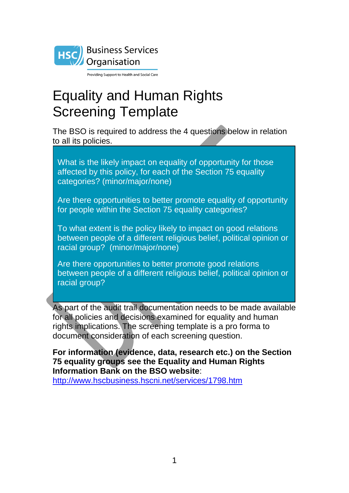

Providing Support to Health and Social Care

# Equality and Human Rights Screening Template

The BSO is required to address the 4 questions below in relation to all its policies.

What is the likely impact on equality of opportunity for those affected by this policy, for each of the Section 75 equality categories? (minor/major/none)

Are there opportunities to better promote equality of opportunity for people within the Section 75 equality categories?

To what extent is the policy likely to impact on good relations between people of a different religious belief, political opinion or racial group? (minor/major/none)

Are there opportunities to better promote good relations between people of a different religious belief, political opinion or racial group?

As part of the audit trail documentation needs to be made available for all policies and decisions examined for equality and human rights implications. The screening template is a pro forma to document consideration of each screening question.

**For information (evidence, data, research etc.) on the Section 75 equality groups see the Equality and Human Rights Information Bank on the BSO website**: <http://www.hscbusiness.hscni.net/services/1798.htm>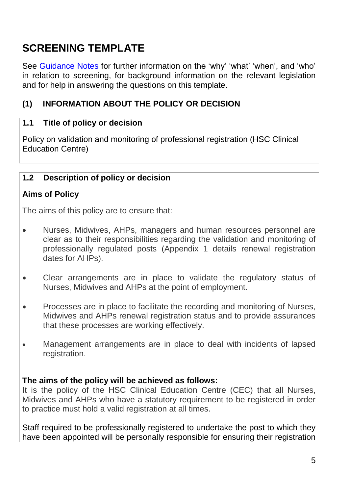## **SCREENING TEMPLATE**

See [Guidance Notes](http://www.hscbusiness.hscni.net/services/2244.htm) for further information on the 'why' 'what' 'when', and 'who' in relation to screening, for background information on the relevant legislation and for help in answering the questions on this template.

## **(1) INFORMATION ABOUT THE POLICY OR DECISION**

## **1.1 Title of policy or decision**

Policy on validation and monitoring of professional registration (HSC Clinical Education Centre)

#### **1.2 Description of policy or decision**

#### **Aims of Policy**

The aims of this policy are to ensure that:

- Nurses, Midwives, AHPs, managers and human resources personnel are clear as to their responsibilities regarding the validation and monitoring of professionally regulated posts (Appendix 1 details renewal registration dates for AHPs).
- Clear arrangements are in place to validate the regulatory status of Nurses, Midwives and AHPs at the point of employment.
- Processes are in place to facilitate the recording and monitoring of Nurses, Midwives and AHPs renewal registration status and to provide assurances that these processes are working effectively.
- Management arrangements are in place to deal with incidents of lapsed registration.

#### **The aims of the policy will be achieved as follows:**

It is the policy of the HSC Clinical Education Centre (CEC) that all Nurses, Midwives and AHPs who have a statutory requirement to be registered in order to practice must hold a valid registration at all times.

Staff required to be professionally registered to undertake the post to which they have been appointed will be personally responsible for ensuring their registration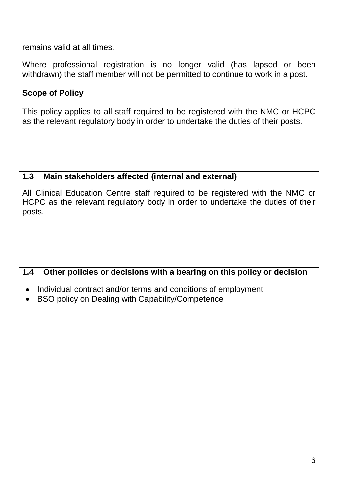remains valid at all times.

Where professional registration is no longer valid (has lapsed or been withdrawn) the staff member will not be permitted to continue to work in a post.

## **Scope of Policy**

This policy applies to all staff required to be registered with the NMC or HCPC as the relevant regulatory body in order to undertake the duties of their posts.

## **1.3 Main stakeholders affected (internal and external)**

All Clinical Education Centre staff required to be registered with the NMC or HCPC as the relevant regulatory body in order to undertake the duties of their posts.

## **1.4 Other policies or decisions with a bearing on this policy or decision**

- Individual contract and/or terms and conditions of employment
- BSO policy on Dealing with Capability/Competence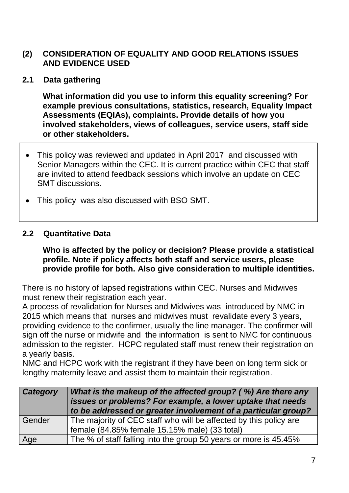## **(2) CONSIDERATION OF EQUALITY AND GOOD RELATIONS ISSUES AND EVIDENCE USED**

**2.1 Data gathering**

**What information did you use to inform this equality screening? For example previous consultations, statistics, research, Equality Impact Assessments (EQIAs), complaints. Provide details of how you involved stakeholders, views of colleagues, service users, staff side or other stakeholders.**

- This policy was reviewed and updated in April 2017 and discussed with Senior Managers within the CEC. It is current practice within CEC that staff are invited to attend feedback sessions which involve an update on CEC SMT discussions.
- This policy was also discussed with BSO SMT.

#### **2.2 Quantitative Data**

**Who is affected by the policy or decision? Please provide a statistical profile. Note if policy affects both staff and service users, please provide profile for both. Also give consideration to multiple identities.**

There is no history of lapsed registrations within CEC. Nurses and Midwives must renew their registration each year.

A process of revalidation for Nurses and Midwives was introduced by NMC in 2015 which means that nurses and midwives must revalidate every 3 years, providing evidence to the confirmer, usually the line manager. The confirmer will sign off the nurse or midwife and the information is sent to NMC for continuous admission to the register. HCPC regulated staff must renew their registration on a yearly basis.

NMC and HCPC work with the registrant if they have been on long term sick or lengthy maternity leave and assist them to maintain their registration.

| Category | What is the makeup of the affected group? (%) Are there any<br>issues or problems? For example, a lower uptake that needs<br>to be addressed or greater involvement of a particular group? |
|----------|--------------------------------------------------------------------------------------------------------------------------------------------------------------------------------------------|
| Gender   | The majority of CEC staff who will be affected by this policy are<br>female (84.85% female 15.15% male) (33 total)                                                                         |
|          |                                                                                                                                                                                            |
| Age      | The % of staff falling into the group 50 years or more is 45.45%                                                                                                                           |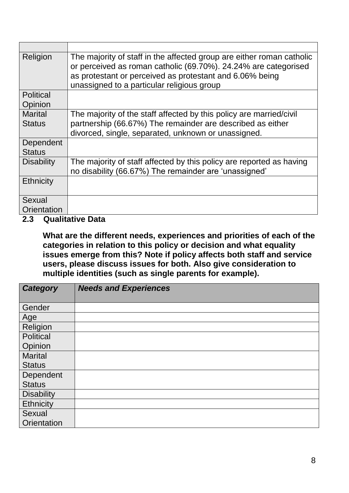| Religion                        | The majority of staff in the affected group are either roman catholic<br>or perceived as roman catholic (69.70%). 24.24% are categorised<br>as protestant or perceived as protestant and 6.06% being<br>unassigned to a particular religious group |
|---------------------------------|----------------------------------------------------------------------------------------------------------------------------------------------------------------------------------------------------------------------------------------------------|
| <b>Political</b>                |                                                                                                                                                                                                                                                    |
| Opinion                         |                                                                                                                                                                                                                                                    |
| <b>Marital</b><br><b>Status</b> | The majority of the staff affected by this policy are married/civil<br>partnership (66.67%) The remainder are described as either<br>divorced, single, separated, unknown or unassigned.                                                           |
| Dependent<br><b>Status</b>      |                                                                                                                                                                                                                                                    |
| <b>Disability</b>               | The majority of staff affected by this policy are reported as having<br>no disability (66.67%) The remainder are 'unassigned'                                                                                                                      |
| <b>Ethnicity</b>                |                                                                                                                                                                                                                                                    |
| Sexual                          |                                                                                                                                                                                                                                                    |
| Orientation                     |                                                                                                                                                                                                                                                    |

#### **2.3 Qualitative Data**

**What are the different needs, experiences and priorities of each of the categories in relation to this policy or decision and what equality issues emerge from this? Note if policy affects both staff and service users, please discuss issues for both. Also give consideration to multiple identities (such as single parents for example).**

| <b>Category</b>   | <b>Needs and Experiences</b> |
|-------------------|------------------------------|
|                   |                              |
| Gender            |                              |
| Age               |                              |
| Religion          |                              |
| <b>Political</b>  |                              |
| Opinion           |                              |
| <b>Marital</b>    |                              |
| <b>Status</b>     |                              |
| Dependent         |                              |
| <b>Status</b>     |                              |
| <b>Disability</b> |                              |
| <b>Ethnicity</b>  |                              |
| Sexual            |                              |
| Orientation       |                              |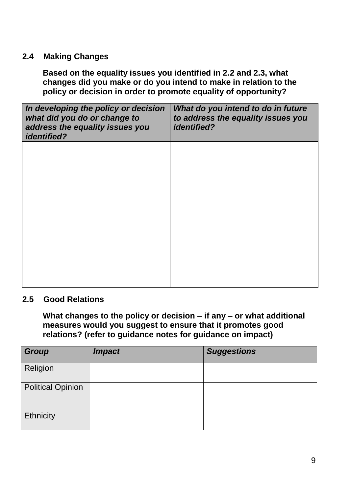#### **2.4 Making Changes**

**Based on the equality issues you identified in 2.2 and 2.3, what changes did you make or do you intend to make in relation to the policy or decision in order to promote equality of opportunity?**

| In developing the policy or decision<br>what did you do or change to<br>address the equality issues you<br><i>identified?</i> | What do you intend to do in future<br>to address the equality issues you<br><i>identified?</i> |
|-------------------------------------------------------------------------------------------------------------------------------|------------------------------------------------------------------------------------------------|
|                                                                                                                               |                                                                                                |
|                                                                                                                               |                                                                                                |
|                                                                                                                               |                                                                                                |
|                                                                                                                               |                                                                                                |

#### **2.5 Good Relations**

**What changes to the policy or decision – if any – or what additional measures would you suggest to ensure that it promotes good relations? (refer to guidance notes for guidance on impact)**

| <b>Group</b>             | <b>Impact</b> | <b>Suggestions</b> |
|--------------------------|---------------|--------------------|
| Religion                 |               |                    |
| <b>Political Opinion</b> |               |                    |
| <b>Ethnicity</b>         |               |                    |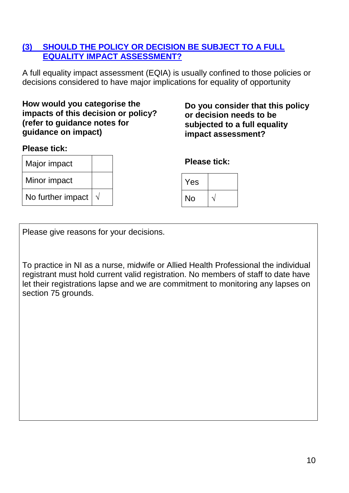## **(3) SHOULD THE POLICY OR DECISION BE SUBJECT TO A FULL EQUALITY IMPACT ASSESSMENT?**

A full equality impact assessment (EQIA) is usually confined to those policies or decisions considered to have major implications for equality of opportunity

#### **How would you categorise the impacts of this decision or policy? (refer to guidance notes for guidance on impact)**

#### **Please tick:**

Major impact Minor impact

No further impact **√**

**Do you consider that this policy or decision needs to be subjected to a full equality impact assessment?**

#### **Please tick:**

| Yes |  |
|-----|--|
| No  |  |

Please give reasons for your decisions.

To practice in NI as a nurse, midwife or Allied Health Professional the individual registrant must hold current valid registration. No members of staff to date have let their registrations lapse and we are commitment to monitoring any lapses on section 75 grounds.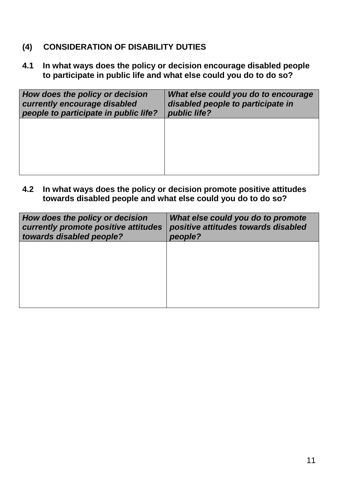- **(4) CONSIDERATION OF DISABILITY DUTIES**
- **4.1 In what ways does the policy or decision encourage disabled people to participate in public life and what else could you do to do so?**

| How does the policy or decision<br>currently encourage disabled<br>people to participate in public life? | What else could you do to encourage<br>disabled people to participate in<br>public life? |
|----------------------------------------------------------------------------------------------------------|------------------------------------------------------------------------------------------|
|                                                                                                          |                                                                                          |
|                                                                                                          |                                                                                          |

**4.2 In what ways does the policy or decision promote positive attitudes towards disabled people and what else could you do to do so?**

| How does the policy or decision<br>currently promote positive attitudes<br>towards disabled people? | What else could you do to promote<br>positive attitudes towards disabled<br>people? |
|-----------------------------------------------------------------------------------------------------|-------------------------------------------------------------------------------------|
|                                                                                                     |                                                                                     |
|                                                                                                     |                                                                                     |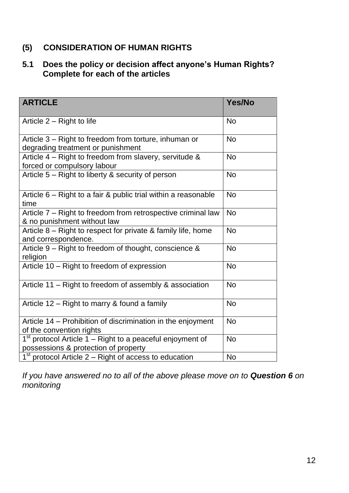## **(5) CONSIDERATION OF HUMAN RIGHTS**

## **5.1 Does the policy or decision affect anyone's Human Rights? Complete for each of the articles**

| <b>ARTICLE</b>                                                                                                | Yes/No    |
|---------------------------------------------------------------------------------------------------------------|-----------|
| Article 2 – Right to life                                                                                     | <b>No</b> |
| Article 3 – Right to freedom from torture, inhuman or<br>degrading treatment or punishment                    | <b>No</b> |
| Article $4$ – Right to freedom from slavery, servitude &<br>forced or compulsory labour                       | <b>No</b> |
| Article 5 – Right to liberty & security of person                                                             | <b>No</b> |
| Article 6 – Right to a fair & public trial within a reasonable<br>time                                        | <b>No</b> |
| Article 7 – Right to freedom from retrospective criminal law<br>& no punishment without law                   | <b>No</b> |
| Article 8 – Right to respect for private & family life, home<br>and correspondence.                           | <b>No</b> |
| Article 9 – Right to freedom of thought, conscience &<br>religion                                             | <b>No</b> |
| Article 10 - Right to freedom of expression                                                                   | <b>No</b> |
| Article 11 – Right to freedom of assembly & association                                                       | <b>No</b> |
| Article 12 – Right to marry & found a family                                                                  | <b>No</b> |
| Article 14 – Prohibition of discrimination in the enjoyment<br>of the convention rights                       | <b>No</b> |
| 1 <sup>st</sup> protocol Article 1 – Right to a peaceful enjoyment of<br>possessions & protection of property | <b>No</b> |
| $1st$ protocol Article 2 – Right of access to education                                                       | <b>No</b> |

*If you have answered no to all of the above please move on to Question 6 on monitoring*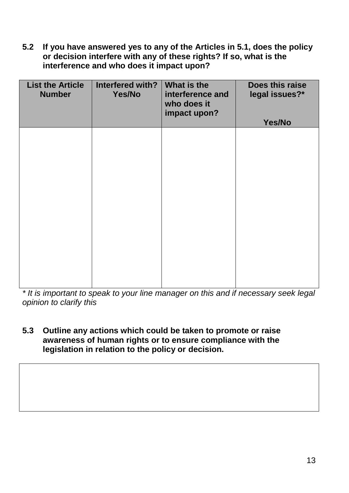**5.2 If you have answered yes to any of the Articles in 5.1, does the policy or decision interfere with any of these rights? If so, what is the interference and who does it impact upon?**

| <b>List the Article</b><br><b>Number</b> | Interfered with?<br>Yes/No | What is the<br>interference and<br>who does it<br>impact upon? | Does this raise<br>legal issues?*<br>Yes/No |
|------------------------------------------|----------------------------|----------------------------------------------------------------|---------------------------------------------|
|                                          |                            |                                                                |                                             |
|                                          |                            |                                                                |                                             |
|                                          |                            |                                                                |                                             |
|                                          |                            |                                                                |                                             |
|                                          |                            |                                                                |                                             |

*\* It is important to speak to your line manager on this and if necessary seek legal opinion to clarify this* 

**5.3 Outline any actions which could be taken to promote or raise awareness of human rights or to ensure compliance with the legislation in relation to the policy or decision.**